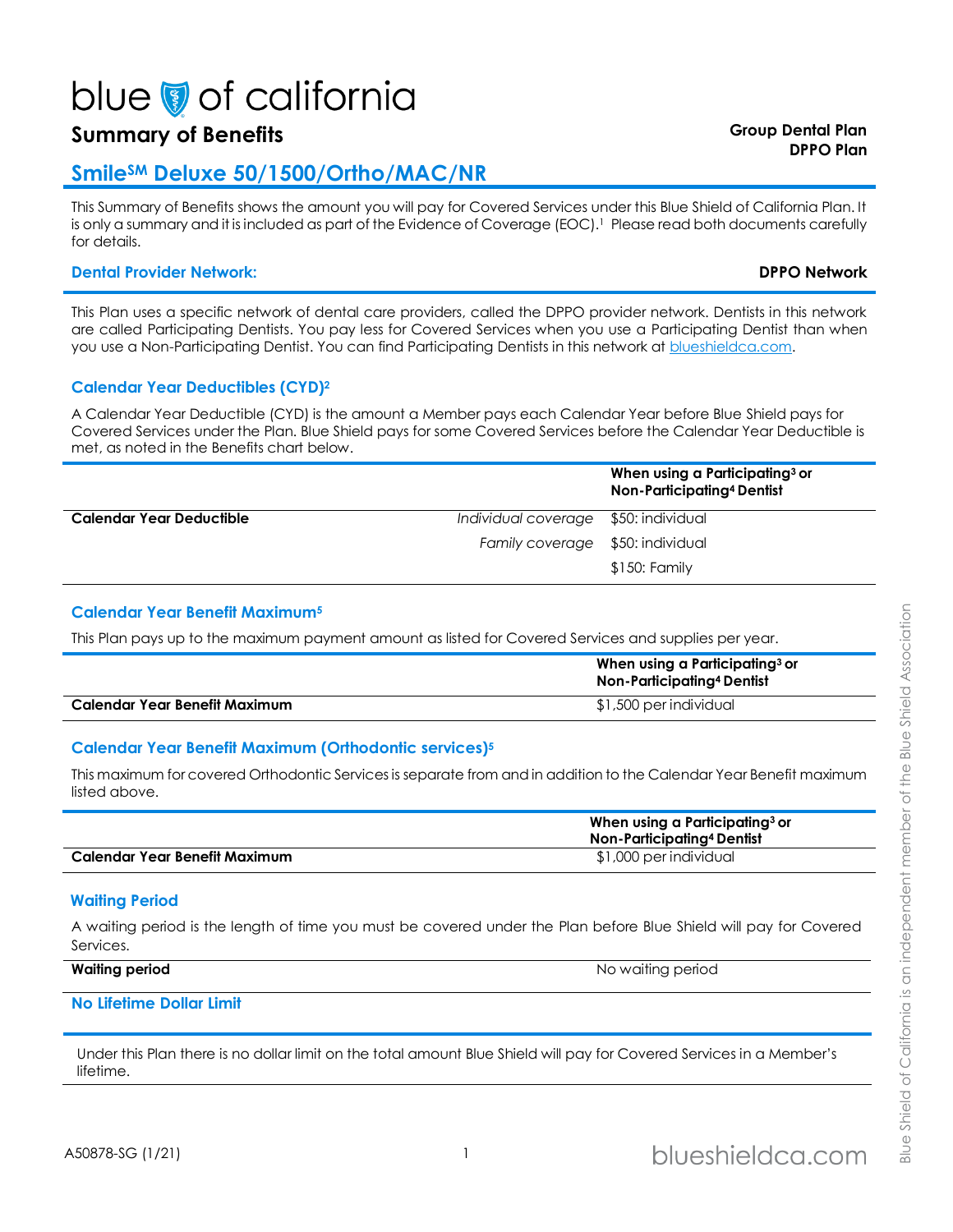# blue of california

## **Summary of Benefits Group Dental Plan**

### **SmileSM Deluxe 50/1500/Ortho/MAC/NR**

This Summary of Benefits shows the amount you will pay for Covered Services under this Blue Shield of California Plan. It is only a summary and it is included as part of the Evidence of Coverage (EOC).<sup>1</sup> Please read both documents carefully for details.

#### **Dental Provider Network: DPPO Network**

This Plan uses a specific network of dental care providers, called the DPPO provider network. Dentists in this network are called Participating Dentists. You pay less for Covered Services when you use a Participating Dentist than when you use a Non-Participating Dentist. You can find Participating Dentists in this network at blueshieldca.com.

#### **Calendar Year Deductibles (CYD)<sup>2</sup>**

A Calendar Year Deductible (CYD) is the amount a Member pays each Calendar Year before Blue Shield pays for Covered Services under the Plan. Blue Shield pays for some Covered Services before the Calendar Year Deductible is met, as noted in the Benefits chart below.

|                          |                                      | When using a Participating $3$ or<br>Non-Participating <sup>4</sup> Dentist |
|--------------------------|--------------------------------------|-----------------------------------------------------------------------------|
| Calendar Year Deductible | Individual coverage \$50: individual |                                                                             |
|                          | Family coverage \$50: individual     |                                                                             |
|                          |                                      | $$150:$ Family                                                              |

#### <span id="page-0-0"></span>**Calendar Year Benefit Maximum<sup>5</sup>**

This Plan pays up to the maximum payment amount as listed for Covered Services and supplies per year.

|                               | When using a Participating <sup>3</sup> or<br>Non-Participating <sup>4</sup> Dentist |
|-------------------------------|--------------------------------------------------------------------------------------|
| Calendar Year Benefit Maximum | \$1,500 per individual                                                               |

#### **Calendar Year Benefit Maximum (Orthodontic services[\)](#page-0-0)<sup>5</sup>**

This maximum for covered Orthodontic Services is separate from and in addition to the Calendar Year Benefit maximum listed above.

|                                      | When using a Participating <sup>3</sup> or<br>Non-Participating <sup>4</sup> Dentist |  |
|--------------------------------------|--------------------------------------------------------------------------------------|--|
| <b>Calendar Year Benefit Maximum</b> | \$1,000 per individual                                                               |  |

#### **Waiting Period**

A waiting period is the length of time you must be covered under the Plan before Blue Shield will pay for Covered Services.

| <b>Waiting period</b> | No waiting period |
|-----------------------|-------------------|
|                       |                   |

#### **No Lifetime Dollar Limit**

Under this Plan there is no dollar limit on the total amount Blue Shield will pay for Covered Services in a Member's lifetime.

# **DPPO Plan**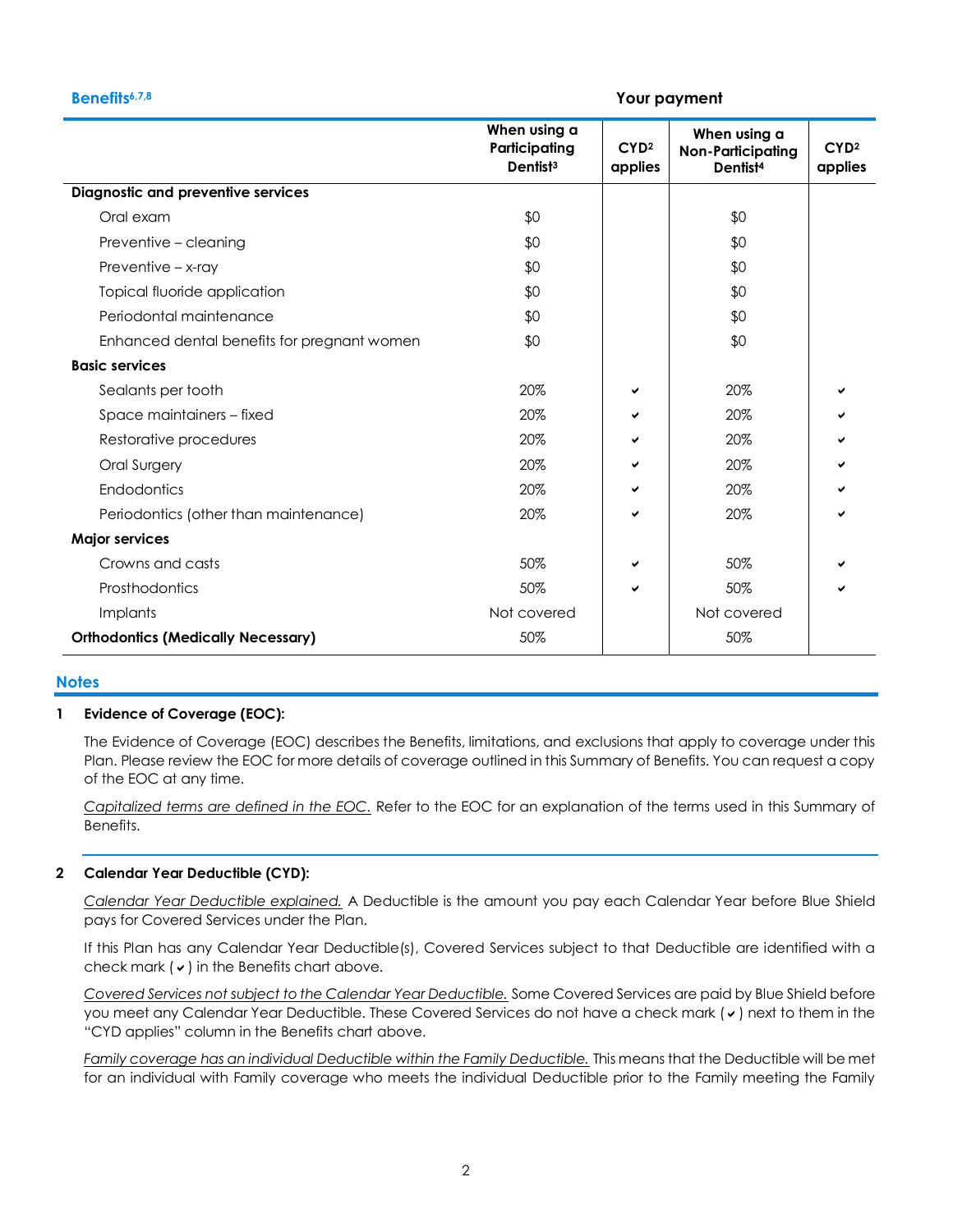#### **Benefits6,7,8 Your payment**

|                                             | When using a<br>Participating<br>Dentist <sup>3</sup> | CYD <sup>2</sup><br>applies | When using a<br><b>Non-Participating</b><br>Dentist <sup>4</sup> | CYD <sup>2</sup><br>applies |
|---------------------------------------------|-------------------------------------------------------|-----------------------------|------------------------------------------------------------------|-----------------------------|
| <b>Diagnostic and preventive services</b>   |                                                       |                             |                                                                  |                             |
| Oral exam                                   | \$0                                                   |                             | \$0                                                              |                             |
| Preventive - cleaning                       | \$0                                                   |                             | \$0                                                              |                             |
| Preventive - x-ray                          | \$0                                                   |                             | \$0                                                              |                             |
| Topical fluoride application                | \$0                                                   |                             | \$0                                                              |                             |
| Periodontal maintenance                     | \$0                                                   |                             | \$0                                                              |                             |
| Enhanced dental benefits for pregnant women | \$0                                                   |                             | \$0                                                              |                             |
| <b>Basic services</b>                       |                                                       |                             |                                                                  |                             |
| Sealants per tooth                          | 20%                                                   | ✔                           | 20%                                                              |                             |
| Space maintainers - fixed                   | 20%                                                   | ✓                           | 20%                                                              |                             |
| Restorative procedures                      | 20%                                                   | ✔                           | 20%                                                              |                             |
| Oral Surgery                                | 20%                                                   | ✔                           | 20%                                                              |                             |
| Endodontics                                 | 20%                                                   | ✓                           | 20%                                                              |                             |
| Periodontics (other than maintenance)       | 20%                                                   | ✔                           | 20%                                                              |                             |
| <b>Major services</b>                       |                                                       |                             |                                                                  |                             |
| Crowns and casts                            | 50%                                                   | ✔                           | 50%                                                              |                             |
| Prosthodontics                              | 50%                                                   | ✓                           | 50%                                                              |                             |
| Implants                                    | Not covered                                           |                             | Not covered                                                      |                             |
| <b>Orthodontics (Medically Necessary)</b>   | 50%                                                   |                             | 50%                                                              |                             |

#### **Notes**

#### **1 Evidence of Coverage (EOC):**

The Evidence of Coverage (EOC) describes the Benefits, limitations, and exclusions that apply to coverage under this Plan. Please review the EOC for more details of coverage outlined in this Summary of Benefits. You can request a copy of the EOC at any time.

*Capitalized terms are defined in the EOC.* Refer to the EOC for an explanation of the terms used in this Summary of Benefits.

#### **2 Calendar Year Deductible (CYD):**

*Calendar Year Deductible explained.* A Deductible is the amount you pay each Calendar Year before Blue Shield pays for Covered Services under the Plan.

If this Plan has any Calendar Year Deductible(s), Covered Services subject to that Deductible are identified with a check mark  $(v)$  in the Benefits chart above.

*Covered Services not subject to the Calendar Year Deductible.* Some Covered Services are paid by Blue Shield before you meet any Calendar Year Deductible. These Covered Services do not have a check mark ( $\checkmark$ ) next to them in the "CYD applies" column in the Benefits chart above.

*Family coverage has an individual Deductible within the Family Deductible.* This means that the Deductible will be met for an individual with Family coverage who meets the individual Deductible prior to the Family meeting the Family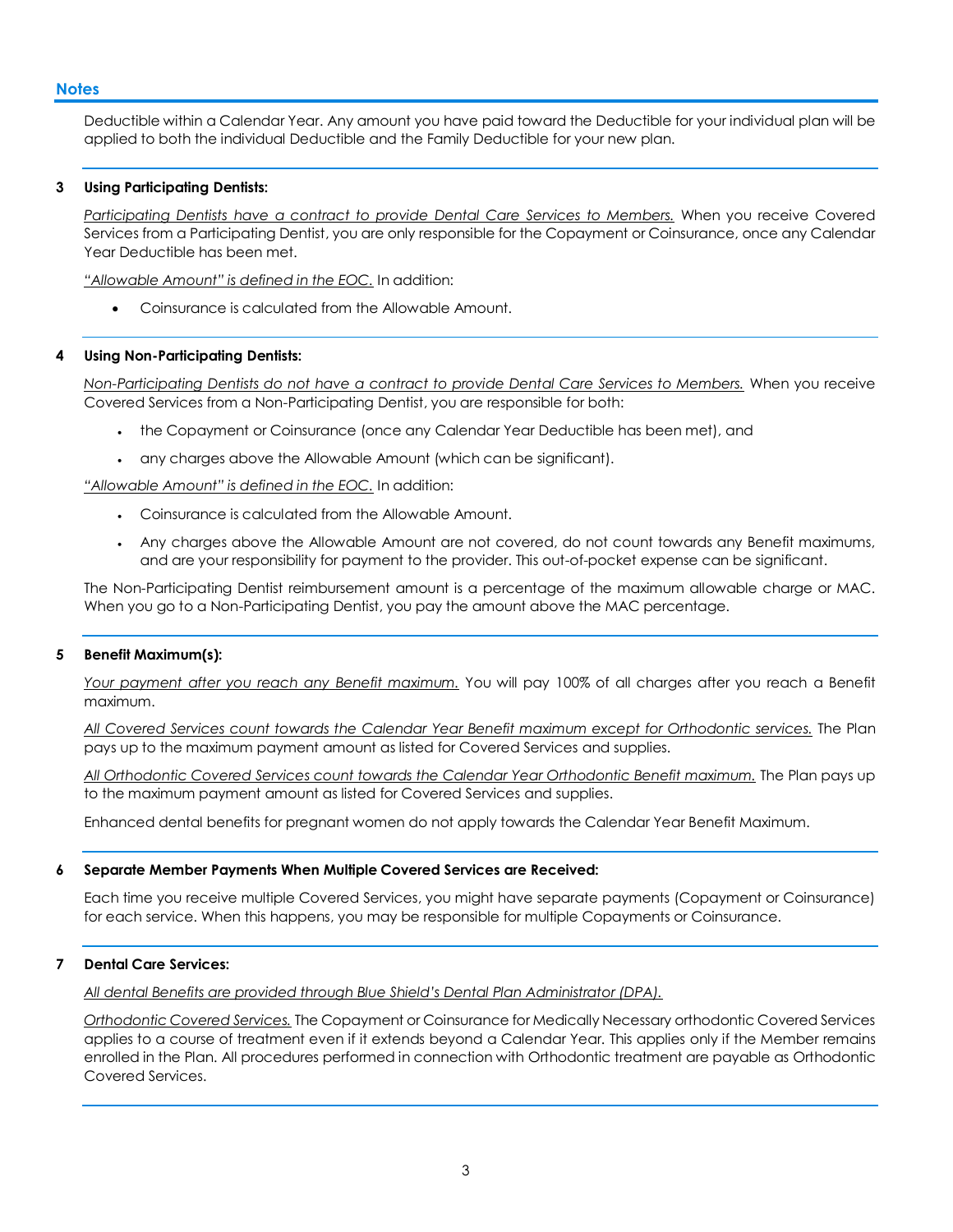#### **Notes**

Deductible within a Calendar Year. Any amount you have paid toward the Deductible for your individual plan will be applied to both the individual Deductible and the Family Deductible for your new plan.

#### **3 Using Participating Dentists:**

*Participating Dentists have a contract to provide Dental Care Services to Members.* When you receive Covered Services from a Participating Dentist, you are only responsible for the Copayment or Coinsurance, once any Calendar Year Deductible has been met.

*"Allowable Amount" is defined in the EOC.* In addition:

Coinsurance is calculated from the Allowable Amount.

#### **4 Using Non-Participating Dentists:**

*Non-Participating Dentists do not have a contract to provide Dental Care Services to Members.* When you receive Covered Services from a Non-Participating Dentist, you are responsible for both:

- the Copayment or Coinsurance (once any Calendar Year Deductible has been met), and
- any charges above the Allowable Amount (which can be significant).

*"Allowable Amount" is defined in the EOC.* In addition:

- Coinsurance is calculated from the Allowable Amount.
- Any charges above the Allowable Amount are not covered, do not count towards any Benefit maximums, and are your responsibility for payment to the provider. This out-of-pocket expense can be significant.

The Non-Participating Dentist reimbursement amount is a percentage of the maximum allowable charge or MAC. When you go to a Non-Participating Dentist, you pay the amount above the MAC percentage.

#### **5 Benefit Maximum(s):**

*Your payment after you reach any Benefit maximum.* You will pay 100% of all charges after you reach a Benefit maximum.

*All Covered Services count towards the Calendar Year Benefit maximum except for Orthodontic services.* The Plan pays up to the maximum payment amount as listed for Covered Services and supplies.

*All Orthodontic Covered Services count towards the Calendar Year Orthodontic Benefit maximum.* The Plan pays up to the maximum payment amount as listed for Covered Services and supplies.

Enhanced dental benefits for pregnant women do not apply towards the Calendar Year Benefit Maximum.

#### **6 Separate Member Payments When Multiple Covered Services are Received:**

Each time you receive multiple Covered Services, you might have separate payments (Copayment or Coinsurance) for each service. When this happens, you may be responsible for multiple Copayments or Coinsurance.

#### **7 Dental Care Services:**

*All dental Benefits are provided through Blue Shield's Dental Plan Administrator (DPA).*

*Orthodontic Covered Services.* The Copayment or Coinsurance for Medically Necessary orthodontic Covered Services applies to a course of treatment even if it extends beyond a Calendar Year. This applies only if the Member remains enrolled in the Plan. All procedures performed in connection with Orthodontic treatment are payable as Orthodontic Covered Services.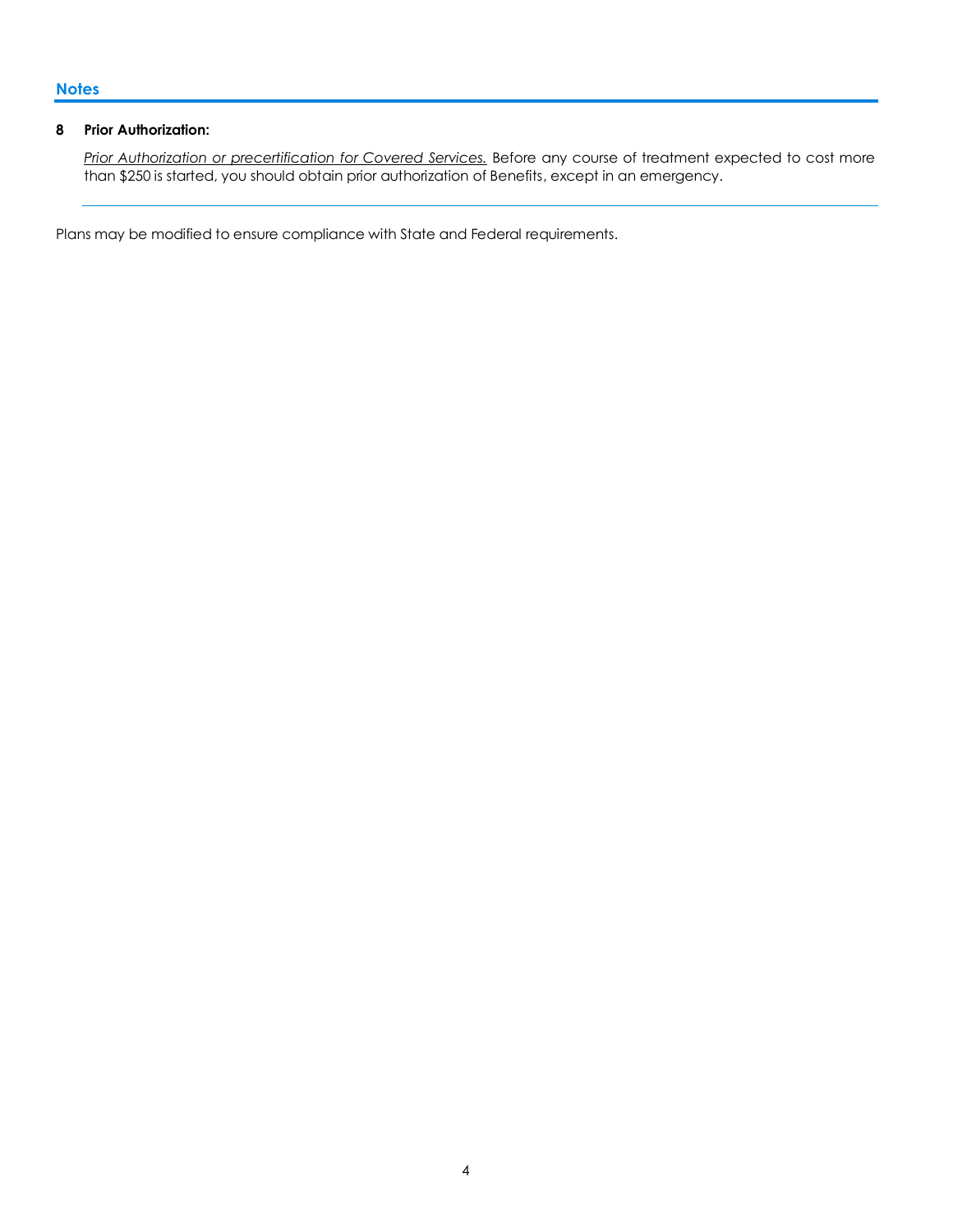#### **8 Prior Authorization:**

*Prior Authorization or precertification for Covered Services.* Before any course of treatment expected to cost more than \$250 is started, you should obtain prior authorization of Benefits, except in an emergency.

Plans may be modified to ensure compliance with State and Federal requirements.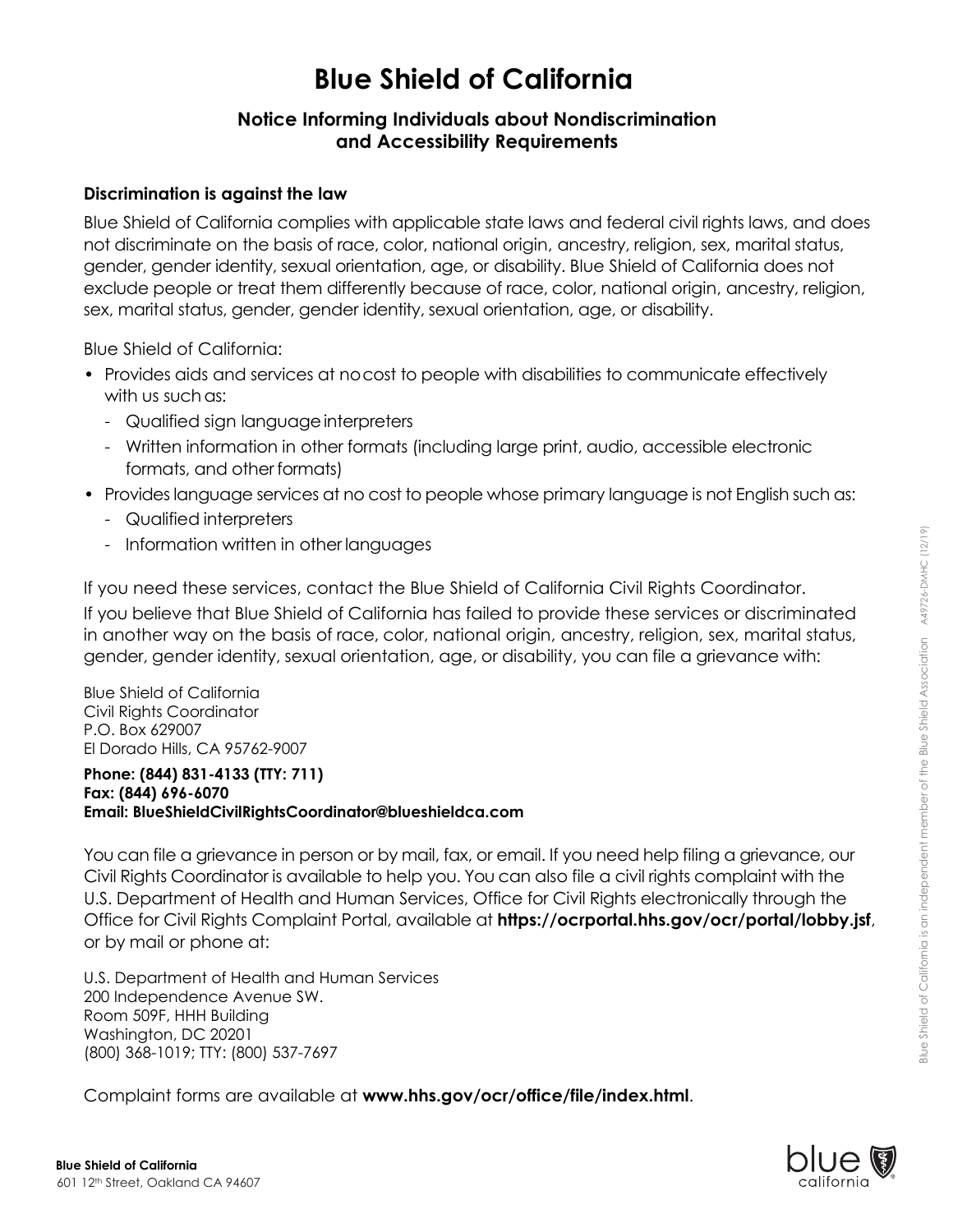# **Blue Shield of California**

### **Notice Informing Individuals about Nondiscrimination and Accessibility Requirements**

### **Discrimination is against the law**

Blue Shield of California complies with applicable state laws and federal civil rights laws, and does not discriminate on the basis of race, color, national origin, ancestry, religion, sex, marital status, gender, gender identity, sexual orientation, age, or disability. Blue Shield of California does not exclude people or treat them differently because of race, color, national origin, ancestry, religion, sex, marital status, gender, gender identity, sexual orientation, age, or disability.

Blue Shield of California:

- Provides aids and services at nocost to people with disabilities to communicate effectively with us such as:
	- Qualified sign language interpreters
	- Written information in other formats (including large print, audio, accessible electronic formats, and other formats)
- Provides language services at no cost to people whose primary language is not English such as:
	- Qualified interpreters
	- Information written in other languages

If you need these services, contact the Blue Shield of California Civil Rights Coordinator. If you believe that Blue Shield of California has failed to provide these services or discriminated in another way on the basis of race, color, national origin, ancestry, religion, sex, marital status, gender, gender identity, sexual orientation, age, or disability, you can file a grievance with:

Blue Shield of California Civil Rights Coordinator P.O. Box 629007 El Dorado Hills, CA 95762-9007

#### **Phone: (844) 831-4133 (TTY: 711) Fax: (844) 696-6070 Email: [BlueShieldCivilRightsCoordinator@blueshieldca.com](mailto:BlueShieldCivilRightsCoordinator@blueshieldca.com)**

You can file a grievance in person or by mail, fax, or email. If you need help filing a grievance, our Civil Rights Coordinator is available to help you. You can also file a civil rights complaint with the U.S. Department of Health and Human Services, Office for Civil Rights electronically through the Office for Civil Rights Complaint Portal, available at **<https://ocrportal.hhs.gov/ocr/portal/lobby.jsf>**, or by mail or phone at:

U.S. Department of Health and Human Services 200 Independence Avenue SW. Room 509F, HHH Building Washington, DC 20201 (800) 368-1019; TTY: (800) 537-7697

Complaint forms are available at **[www.hhs.gov/ocr/office/file/index.html](http://www.hhs.gov/ocr/office/file/index.html)**.

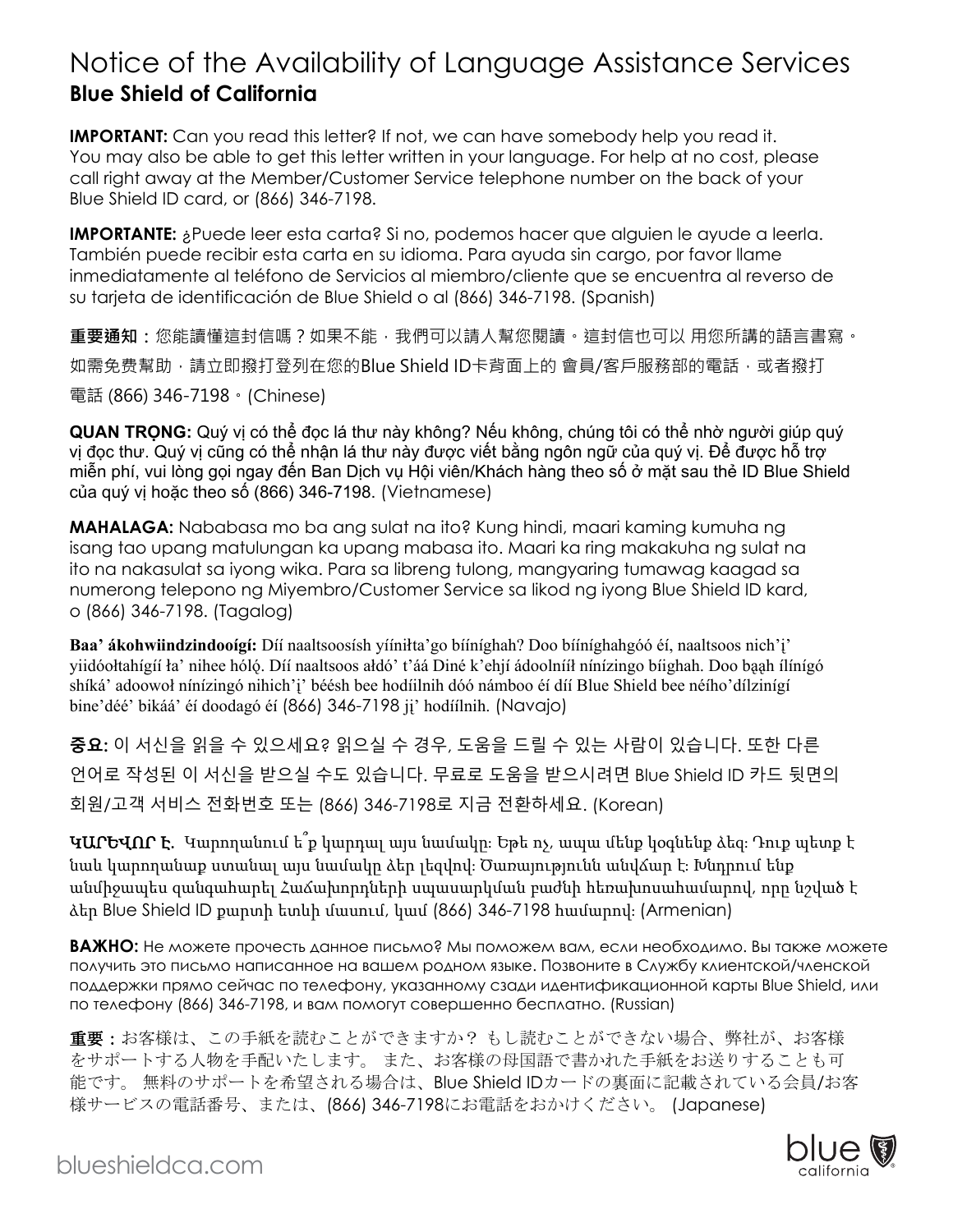# Notice of the Availability of Language Assistance Services **Blue Shield of California**

**IMPORTANT:** Can you read this letter? If not, we can have somebody help you read it. You may also be able to get this letter written in your language. For help at no cost, please call right away at the Member/Customer Service telephone number on the back of your Blue Shield ID card, or (866) 346-7198.

**IMPORTANTE:** ¿Puede leer esta carta? Si no, podemos hacer que alguien le ayude a leerla. También puede recibir esta carta en su idioma. Para ayuda sin cargo, por favor llame inmediatamente al teléfono de Servicios al miembro/cliente que se encuentra al reverso de su tarjeta de identificación de Blue Shield o al (866) 346-7198. (Spanish)

**重要通知:**您能讀懂這封信嗎?如果不能,我們可以請人幫您閱讀。這封信也可以 用您所講的語言書寫。 如需免费幫助,請立即撥打登列在您的Blue Shield ID卡背面上的 會員/客戶服務部的電話,或者撥打 電話 (866) 346-7198。(Chinese)

**QUAN TRỌNG:** Quý vị có thể đọc lá thư này không? Nếu không, chúng tôi có thể nhờ người giúp quý vị đọc thư. Quý vị cũng có thể nhận lá thư này được viết bằng ngôn ngữ của quý vị. Để được hỗ trợ miễn phí, vui lòng gọi ngay đến Ban Dịch vụ Hội viên/Khách hàng theo số ở mặt sau thẻ ID Blue Shield của quý vị hoặc theo số (866) 346-7198. (Vietnamese)

**MAHALAGA:** Nababasa mo ba ang sulat na ito? Kung hindi, maari kaming kumuha ng isang tao upang matulungan ka upang mabasa ito. Maari ka ring makakuha ng sulat na ito na nakasulat sa iyong wika. Para sa libreng tulong, mangyaring tumawag kaagad sa numerong telepono ng Miyembro/Customer Service sa likod ng iyong Blue Shield ID kard, o (866) 346-7198. (Tagalog)

**Baa' ákohwiindzindooígí:** Díí naaltsoosísh yííniłta'go bííníghah? Doo bííníghahgóó éí, naaltsoos nich'i' yiidóołtahígíí ła' nihee hóló. Díí naaltsoos ałdó' t'áá Diné k'ehií ádoolnííł nínízingo bíighah. Doo baah ílínígó shíká' adoowoł nínízingó nihich'i' béésh bee hodíilnih dóó námboo éí díí Blue Shield bee néího'dílzinígí bine' déé' bikáá' éj doodagó éj (866) 346-7198 ji' hodjílnih. (Navajo)

**중요:** 이 서신을 읽을 수 있으세요? 읽으실 수 경우, 도움을 드릴 수 있는 사람이 있습니다. 또한 다른 언어로 작성된 이 서신을 받으실 수도 있습니다. 무료로 도움을 받으시려면 Blue Shield ID 카드 뒷면의 회원/고객 서비스 전화번호 또는 (866) 346-7198로 지금 전환하세요. (Korean)

ԿԱՐԵՎՈՐ Է․ Կարողանում ե՞ք կարդալ այս նամակը։ Եթե ոչ, ապա մենք կօգնենք ձեզ։ Դուք պետք է նաև կարողանաք ստանալ այս նամակը ձեր լեզվով։ Ծառայությունն անվճար է։ Խնդրում ենք անմիջապես զանգահարել Հաճախորդների սպասարկման բաժնի հեռախոսահամարով, որը նշված է ձեր Blue Shield ID քարտի ետևի մասում, կամ (866) 346-7198 համարով։ (Armenian)

**ВАЖНО:** Не можете прочесть данное письмо? Мы поможем вам, если необходимо. Вы также можете получить это письмо написанное на вашем родном языке. Позвоните в Службу клиентской/членской поддержки прямо сейчас по телефону, указанному сзади идентификационной карты Blue Shield, или по телефону (866) 346-7198, и вам помогут совершенно бесплатно. (Russian)

重要:お客様は、この手紙を読むことができますか? もし読むことができない場合、弊社が、お客様 をサポートする人物を手配いたします。 また、お客様の母国語で書かれた手紙をお送りすることも可 能です。 無料のサポートを希望される場合は、Blue Shield IDカードの裏面に記載されている会員/お客 様サービスの電話番号、または、(866) 346-7198にお電話をおかけください。 (Japanese)